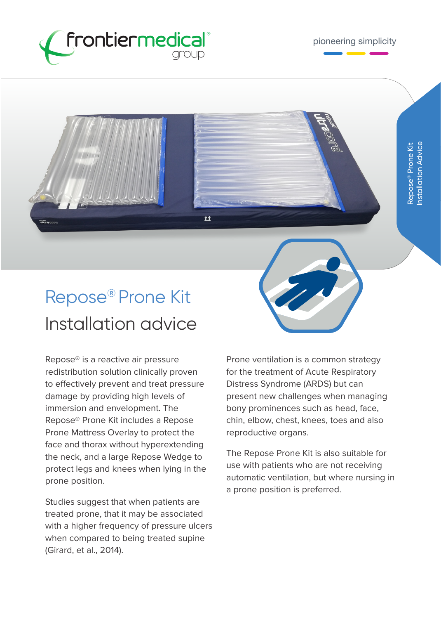

## Repose® Prone Kit Installation advice

 $\overline{\mathbf{r}}$ 

Repose® is a reactive air pressure redistribution solution clinically proven to effectively prevent and treat pressure damage by providing high levels of immersion and envelopment. The Repose® Prone Kit includes a Repose Prone Mattress Overlay to protect the face and thorax without hyperextending the neck, and a large Repose Wedge to protect legs and knees when lying in the prone position.

Studies suggest that when patients are treated prone, that it may be associated with a higher frequency of pressure ulcers when compared to being treated supine (Girard, et al., 2014).

Prone ventilation is a common strategy for the treatment of Acute Respiratory Distress Syndrome (ARDS) but can present new challenges when managing bony prominences such as head, face, chin, elbow, chest, knees, toes and also reproductive organs.

The Repose Prone Kit is also suitable for use with patients who are not receiving automatic ventilation, but where nursing in a prone position is preferred.